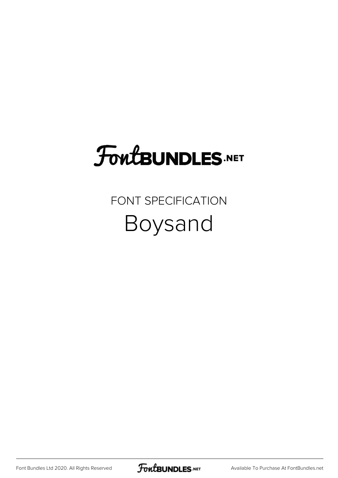## **FoutBUNDLES.NET**

### FONT SPECIFICATION Boysand

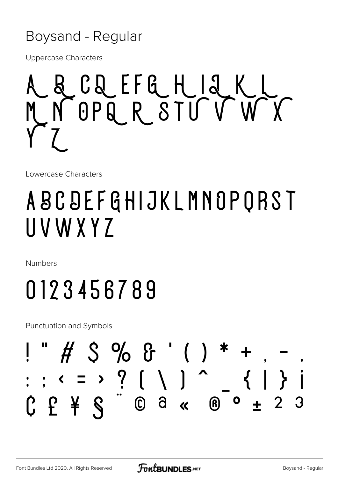#### Boysand - Regular

**Uppercase Characters** 



Lowercase Characters

## ABCDEFGHIJKLMNOPQRST UVWXYZ

**Numbers** 

# 0123456789

**Punctuation and Symbols** 

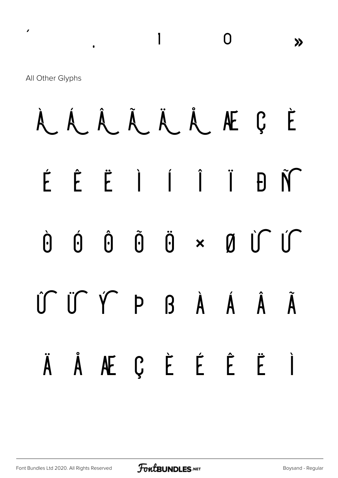All Other Glyphs

 $\mathbf{r}$ 

#### À Á Â Ã Ä Å Æ Ç È  $\hat{E}$   $\hat{E}$   $\hat{I}$   $\hat{I}$   $\hat{I}$  $\acute{\mathsf{F}}$  $\tilde{N}$  $\mathsf{H}$  $\tilde{0}$  $0 \times 0$  of  $0$  $\hat{0}$  $\hat{0}$ Ò  $\int \int \int \int \int \int$  $\beta$   $\dot{A}$   $\dot{A}$   $\dot{A}$  $\tilde{\mathbf{A}}$ ÅÆÇÈÉÊË Ì  $\ddot{A}$

 $\overline{\phantom{a}}$ 

 $\overline{0}$ 

 $\lambda$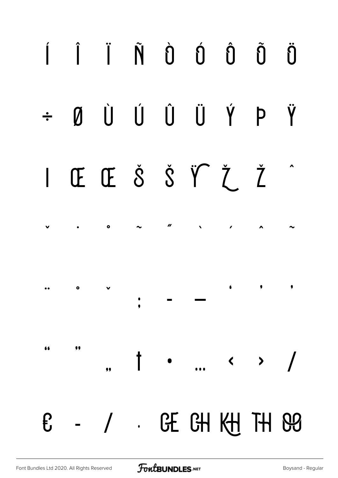#### Í Î Ï Ñ Ù Ú Û Ũ Ö ÚÛ Ù Ü Ý P Ÿ  $\emptyset$  $\div$ ŒŒŠŠŸŽŽ  $\mathsf{L}$ II  $\bullet$ 6 9  $\bullet$  $\bullet$  $\ddot{\bullet}$ 66 99  $\pmb{\dagger}$  $\longleftrightarrow$  /  $\bullet$  $,$ GE GH KH TH 89  $-$  /  $\mathbf{f}$  $\mathcal{L}(\mathbf{r})$